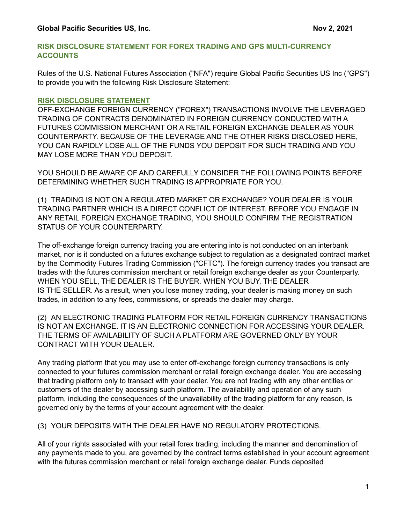#### **RISK DISCLOSURE STATEMENT FOR FOREX TRADING AND GPS MULTl-CURRENCY ACCOUNTS**

Rules of the U.S. National Futures Association ("NFA") require Global Pacific Securities US Inc ("GPS") to provide you with the following Risk Disclosure Statement:

#### **RISK DISCLOSURE STATEMENT**

OFF-EXCHANGE FOREIGN CURRENCY ("FOREX") TRANSACTIONS INVOLVE THE LEVERAGED TRADING OF CONTRACTS DENOMINATED IN FOREIGN CURRENCY CONDUCTED WITH A FUTURES COMMISSION MERCHANT OR A RETAIL FOREIGN EXCHANGE DEALER AS YOUR COUNTERPARTY. BECAUSE OF THE LEVERAGE AND THE OTHER RISKS DISCLOSED HERE, YOU CAN RAPIDLY LOSE ALL OF THE FUNDS YOU DEPOSIT FOR SUCH TRADING AND YOU MAY LOSE MORE THAN YOU DEPOSIT.

YOU SHOULD BE AWARE OF AND CAREFULLY CONSIDER THE FOLLOWING POINTS BEFORE DETERMINING WHETHER SUCH TRADING IS APPROPRIATE FOR YOU.

(1) TRADING IS NOT ON A REGULATED MARKET OR EXCHANGE? YOUR DEALER IS YOUR TRADING PARTNER WHICH IS A DIRECT CONFLICT OF INTEREST. BEFORE YOU ENGAGE IN ANY RETAIL FOREIGN EXCHANGE TRADING, YOU SHOULD CONFIRM THE REGISTRATION STATUS OF YOUR COUNTERPARTY.

The off-exchange foreign currency trading you are entering into is not conducted on an interbank market, nor is it conducted on a futures exchange subject to regulation as a designated contract market by the Commodity Futures Trading Commission ("CFTC"). The foreign currency trades you transact are trades with the futures commission merchant or retail foreign exchange dealer as your Counterparty. WHEN YOU SELL, THE DEALER IS THE BUYER. WHEN YOU BUY, THE DEALER IS THE SELLER. As a result, when you lose money trading, your dealer is making money on such trades, in addition to any fees, commissions, or spreads the dealer may charge.

(2) AN ELECTRONIC TRADING PLATFORM FOR RETAIL FOREIGN CURRENCY TRANSACTIONS IS NOT AN EXCHANGE. IT IS AN ELECTRONIC CONNECTION FOR ACCESSING YOUR DEALER. THE TERMS OF AVAILABILITY OF SUCH A PLATFORM ARE GOVERNED ONLY BY YOUR CONTRACT WITH YOUR DEALER.

Any trading platform that you may use to enter off-exchange foreign currency transactions is only connected to your futures commission merchant or retail foreign exchange dealer. You are accessing that trading platform only to transact with your dealer. You are not trading with any other entities or customers of the dealer by accessing such platform. The availability and operation of any such platform, including the consequences of the unavailability of the trading platform for any reason, is governed only by the terms of your account agreement with the dealer.

(3) YOUR DEPOSITS WITH THE DEALER HAVE NO REGULATORY PROTECTIONS.

All of your rights associated with your retail forex trading, including the manner and denomination of any payments made to you, are governed by the contract terms established in your account agreement with the futures commission merchant or retail foreign exchange dealer. Funds deposited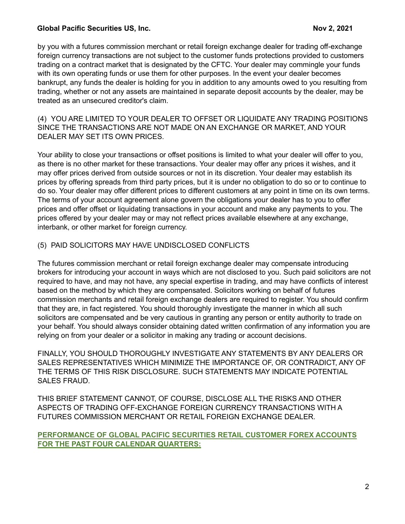by you with a futures commission merchant or retail foreign exchange dealer for trading off-exchange foreign currency transactions are not subject to the customer funds protections provided to customers trading on a contract market that is designated by the CFTC. Your dealer may commingle your funds with its own operating funds or use them for other purposes. In the event your dealer becomes bankrupt, any funds the dealer is holding for you in addition to any amounts owed to you resulting from trading, whether or not any assets are maintained in separate deposit accounts by the dealer, may be treated as an unsecured creditor's claim.

(4) YOU ARE LIMITED TO YOUR DEALER TO OFFSET OR LIQUIDATE ANY TRADING POSITIONS SINCE THE TRANSACTIONS ARE NOT MADE ON AN EXCHANGE OR MARKET, AND YOUR DEALER MAY SET ITS OWN PRICES.

Your ability to close your transactions or offset positions is limited to what your dealer will offer to you, as there is no other market for these transactions. Your dealer may offer any prices it wishes, and it may offer prices derived from outside sources or not in its discretion. Your dealer may establish its prices by offering spreads from third party prices, but it is under no obligation to do so or to continue to do so. Your dealer may offer different prices to different customers at any point in time on its own terms. The terms of your account agreement alone govern the obligations your dealer has to you to offer prices and offer offset or liquidating transactions in your account and make any payments to you. The prices offered by your dealer may or may not reflect prices available elsewhere at any exchange, interbank, or other market for foreign currency.

# (5) PAID SOLICITORS MAY HAVE UNDISCLOSED CONFLICTS

The futures commission merchant or retail foreign exchange dealer may compensate introducing brokers for introducing your account in ways which are not disclosed to you. Such paid solicitors are not required to have, and may not have, any special expertise in trading, and may have conflicts of interest based on the method by which they are compensated. Solicitors working on behalf of futures commission merchants and retail foreign exchange dealers are required to register. You should confirm that they are, in fact registered. You should thoroughly investigate the manner in which all such solicitors are compensated and be very cautious in granting any person or entity authority to trade on your behalf. You should always consider obtaining dated written confirmation of any information you are relying on from your dealer or a solicitor in making any trading or account decisions.

FINALLY, YOU SHOULD THOROUGHLY INVESTIGATE ANY STATEMENTS BY ANY DEALERS OR SALES REPRESENTATIVES WHICH MINIMIZE THE IMPORTANCE OF, OR CONTRADICT, ANY OF THE TERMS OF THIS RISK DISCLOSURE. SUCH STATEMENTS MAY INDICATE POTENTIAL SALES FRAUD.

THIS BRIEF STATEMENT CANNOT, OF COURSE, DISCLOSE ALL THE RISKS AND OTHER ASPECTS OF TRADING OFF-EXCHANGE FOREIGN CURRENCY TRANSACTIONS WITH A FUTURES COMMISSION MERCHANT OR RETAIL FOREIGN EXCHANGE DEALER.

**PERFORMANCE OF GLOBAL PACIFIC SECURITIES RETAIL CUSTOMER FOREX ACCOUNTS FOR THE PAST FOUR CALENDAR QUARTERS:**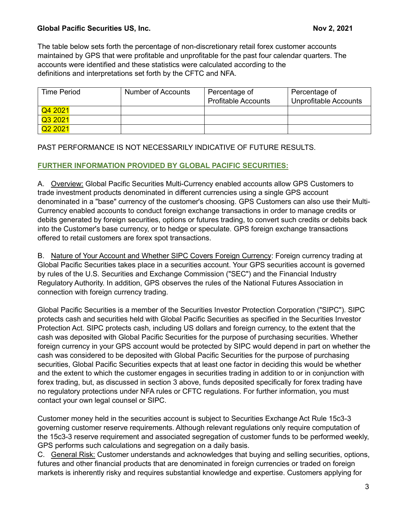The table below sets forth the percentage of non-discretionary retail forex customer accounts maintained by GPS that were profitable and unprofitable for the past four calendar quarters. The accounts were identified and these statistics were calculated according to the definitions and interpretations set forth by the CFTC and NFA.

| <b>Time Period</b>  | Number of Accounts | Percentage of<br><b>Profitable Accounts</b> | Percentage of<br><b>Unprofitable Accounts</b> |
|---------------------|--------------------|---------------------------------------------|-----------------------------------------------|
| Q4 2021             |                    |                                             |                                               |
| Q3 2021             |                    |                                             |                                               |
| Q <sub>2</sub> 2021 |                    |                                             |                                               |

# PAST PERFORMANCE IS NOT NECESSARILY INDICATIVE OF FUTURE RESULTS.

# **FURTHER INFORMATION PROVIDED BY GLOBAL PACIFIC SECURITIES:**

A. Overview: Global Pacific Securities Multi-Currency enabled accounts allow GPS Customers to trade investment products denominated in different currencies using a single GPS account denominated in a "base" currency of the customer's choosing. GPS Customers can also use their Multi-Currency enabled accounts to conduct foreign exchange transactions in order to manage credits or debits generated by foreign securities, options or futures trading, to convert such credits or debits back into the Customer's base currency, or to hedge or speculate. GPS foreign exchange transactions offered to retail customers are forex spot transactions.

B. Nature of Your Account and Whether SIPC Covers Foreign Currency: Foreign currency trading at Global Pacific Securities takes place in a securities account. Your GPS securities account is governed by rules of the U.S. Securities and Exchange Commission ("SEC") and the Financial Industry Regulatory Authority. In addition, GPS observes the rules of the National Futures Association in connection with foreign currency trading.

Global Pacific Securities is a member of the Securities Investor Protection Corporation ("SIPC"). SIPC protects cash and securities held with Global Pacific Securities as specified in the Securities Investor Protection Act. SIPC protects cash, including US dollars and foreign currency, to the extent that the cash was deposited with Global Pacific Securities for the purpose of purchasing securities. Whether foreign currency in your GPS account would be protected by SIPC would depend in part on whether the cash was considered to be deposited with Global Pacific Securities for the purpose of purchasing securities, Global Pacific Securities expects that at least one factor in deciding this would be whether and the extent to which the customer engages in securities trading in addition to or in conjunction with forex trading, but, as discussed in section 3 above, funds deposited specifically for forex trading have no regulatory protections under NFA rules or CFTC regulations. For further information, you must contact your own legal counsel or SIPC.

Customer money held in the securities account is subject to Securities Exchange Act Rule 15c3-3 governing customer reserve requirements. Although relevant regulations only require computation of the 15c3-3 reserve requirement and associated segregation of customer funds to be performed weekly, GPS performs such calculations and segregation on a daily basis.

C. General Risk: Customer understands and acknowledges that buying and selling securities, options, futures and other financial products that are denominated in foreign currencies or traded on foreign markets is inherently risky and requires substantial knowledge and expertise. Customers applying for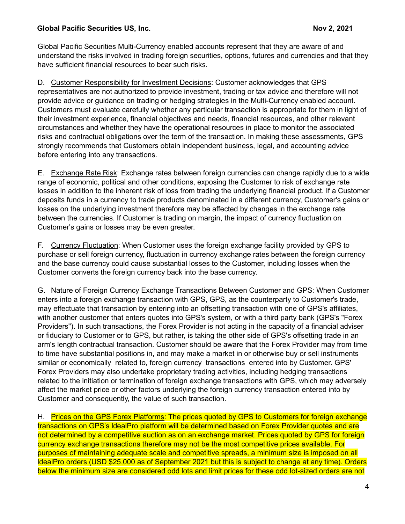Global Pacific Securities Multi-Currency enabled accounts represent that they are aware of and understand the risks involved in trading foreign securities, options, futures and currencies and that they have sufficient financial resources to bear such risks.

D. Customer Responsibility for Investment Decisions: Customer acknowledges that GPS representatives are not authorized to provide investment, trading or tax advice and therefore will not provide advice or guidance on trading or hedging strategies in the Multi-Currency enabled account. Customers must evaluate carefully whether any particular transaction is appropriate for them in light of their investment experience, financial objectives and needs, financial resources, and other relevant circumstances and whether they have the operational resources in place to monitor the associated risks and contractual obligations over the term of the transaction. In making these assessments, GPS strongly recommends that Customers obtain independent business, legal, and accounting advice before entering into any transactions.

E. Exchange Rate Risk: Exchange rates between foreign currencies can change rapidly due to a wide range of economic, political and other conditions, exposing the Customer to risk of exchange rate losses in addition to the inherent risk of loss from trading the underlying financial product. If a Customer deposits funds in a currency to trade products denominated in a different currency, Customer's gains or losses on the underlying investment therefore may be affected by changes in the exchange rate between the currencies. If Customer is trading on margin, the impact of currency fluctuation on Customer's gains or losses may be even greater.

F. Currency Fluctuation: When Customer uses the foreign exchange facility provided by GPS to purchase or sell foreign currency, fluctuation in currency exchange rates between the foreign currency and the base currency could cause substantial losses to the Customer, including losses when the Customer converts the foreign currency back into the base currency.

G. Nature of Foreign Currency Exchange Transactions Between Customer and GPS: When Customer enters into a foreign exchange transaction with GPS, GPS, as the counterparty to Customer's trade, may effectuate that transaction by entering into an offsetting transaction with one of GPS's affiliates, with another customer that enters quotes into GPS's system, or with a third party bank (GPS's "Forex Providers"). In such transactions, the Forex Provider is not acting in the capacity of a financial adviser or fiduciary to Customer or to GPS, but rather, is taking the other side of GPS's offsetting trade in an arm's length contractual transaction. Customer should be aware that the Forex Provider may from time to time have substantial positions in, and may make a market in or otherwise buy or sell instruments similar or economically related to, foreign currency transactions entered into by Customer. GPS' Forex Providers may also undertake proprietary trading activities, including hedging transactions related to the initiation or termination of foreign exchange transactions with GPS, which may adversely affect the market price or other factors underlying the foreign currency transaction entered into by Customer and consequently, the value of such transaction.

H. Prices on the GPS Forex Platforms: The prices quoted by GPS to Customers for foreign exchange transactions on GPS's ldealPro platform will be determined based on Forex Provider quotes and are not determined by a competitive auction as on an exchange market. Prices quoted by GPS for foreign currency exchange transactions therefore may not be the most competitive prices available. For purposes of maintaining adequate scale and competitive spreads, a minimum size is imposed on all ldealPro orders (USD \$25,000 as of September 2021 but this is subject to change at any time). Orders below the minimum size are considered odd lots and limit prices for these odd lot-sized orders are not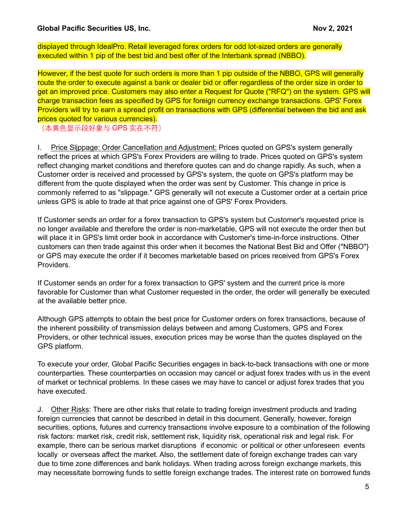displayed through IdealPro. Retail leveraged forex orders for odd lot-sized orders are generally executed within 1 pip of the best bid and best offer of the Interbank spread (NBBO).

However, if the best quote for such orders is more than 1 pip outside of the NBBO, GPS will generally route the order to execute against a bank or dealer bid or offer regardless of the order size in order to get an improved price. Customers may also enter a Request for Quote ("RFQ") on the system. GPS will charge transaction fees as specified by GPS for foreign currency exchange transactions. GPS' Forex Providers will try to earn a spread profit on transactions with GPS (differential between the bid and ask prices quoted for various currencies).

(本黄色显示段好象与 GPS 实在不符)

I. Price Slippage: Order Cancellation and Adjustment: Prices quoted on GPS's system generally reflect the prices at which GPS's Forex Providers are willing to trade. Prices quoted on GPS's system reflect changing market conditions and therefore quotes can and do change rapidly. As such, when a Customer order is received and processed by GPS's system, the quote on GPS's platform may be different from the quote displayed when the order was sent by Customer. This change in price is commonly referred to as "slippage." GPS generally will not execute a Customer order at a certain price unless GPS is able to trade at that price against one of GPS' Forex Providers.

If Customer sends an order for a forex transaction to GPS's system but Customer's requested price is no longer available and therefore the order is non-marketable, GPS will not execute the order then but will place it in GPS's limit order book in accordance with Customer's time-in-force instructions. Other customers can then trade against this order when it becomes the National Best Bid and Offer ("NBBO"} or GPS may execute the order if it becomes marketable based on prices received from GPS's Forex Providers.

If Customer sends an order for a forex transaction to GPS' system and the current price is more favorable for Customer than what Customer requested in the order, the order will generally be executed at the available better price.

Although GPS attempts to obtain the best price for Customer orders on forex transactions, because of the inherent possibility of transmission delays between and among Customers, GPS and Forex Providers, or other technical issues, execution prices may be worse than the quotes displayed on the GPS platform.

To execute your order, Global Pacific Securities engages in back-to-back transactions with one or more counterparties. These counterparties on occasion may cancel or adjust forex trades with us in the event of market or technical problems. In these cases we may have to cancel or adjust forex trades that you have executed.

J. Other Risks: There are other risks that relate to trading foreign investment products and trading foreign currencies that cannot be described in detail in this document. Generally, however, foreign securities, options, futures and currency transactions involve exposure to a combination of the following risk factors: market risk, credit risk, settlement risk, liquidity risk, operational risk and legal risk. For example, there can be serious market disruptions if economic or political or other unforeseen events locally or overseas affect the market. Also, the settlement date of foreign exchange trades can vary due to time zone differences and bank holidays. When trading across foreign exchange markets, this may necessitate borrowing funds to settle foreign exchange trades. The interest rate on borrowed funds